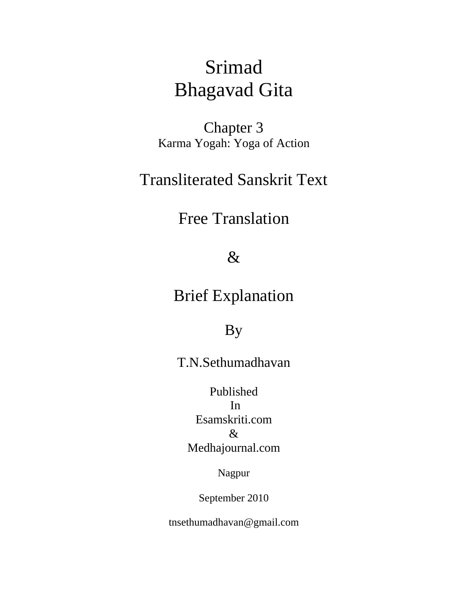# Srimad Bhagavad Gita

Chapter 3 Karma Yogah: Yoga of Action

## Transliterated Sanskrit Text

## Free Translation

### $\&$

## Brief Explanation

### By

### T.N.Sethumadhavan

Published In Esamskriti.com & Medhajournal.com

Nagpur

September 2010

tnsethumadhavan@gmail.com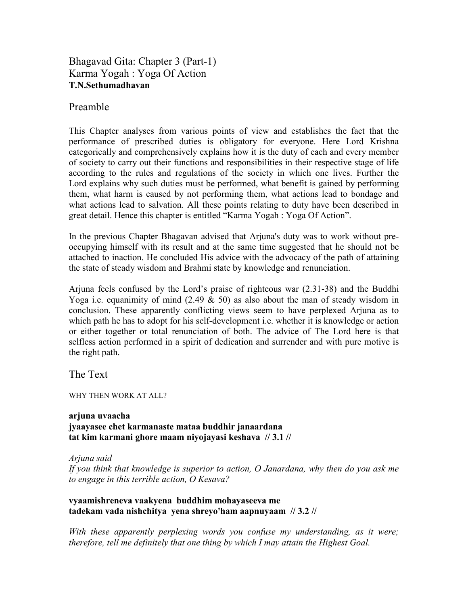#### Bhagavad Gita: Chapter 3 (Part-1) Karma Yogah : Yoga Of Action **T.N.Sethumadhavan**

#### Preamble

This Chapter analyses from various points of view and establishes the fact that the performance of prescribed duties is obligatory for everyone. Here Lord Krishna categorically and comprehensively explains how it is the duty of each and every member of society to carry out their functions and responsibilities in their respective stage of life according to the rules and regulations of the society in which one lives. Further the Lord explains why such duties must be performed, what benefit is gained by performing them, what harm is caused by not performing them, what actions lead to bondage and what actions lead to salvation. All these points relating to duty have been described in great detail. Hence this chapter is entitled "Karma Yogah : Yoga Of Action".

In the previous Chapter Bhagavan advised that Arjuna's duty was to work without preoccupying himself with its result and at the same time suggested that he should not be attached to inaction. He concluded His advice with the advocacy of the path of attaining the state of steady wisdom and Brahmi state by knowledge and renunciation.

Arjuna feels confused by the Lord's praise of righteous war (2.31-38) and the Buddhi Yoga i.e. equanimity of mind  $(2.49 \& 50)$  as also about the man of steady wisdom in conclusion. These apparently conflicting views seem to have perplexed Arjuna as to which path he has to adopt for his self-development i.e. whether it is knowledge or action or either together or total renunciation of both. The advice of The Lord here is that selfless action performed in a spirit of dedication and surrender and with pure motive is the right path.

The Text

WHY THEN WORK AT ALL?

**arjuna uvaacha jyaayasee chet karmanaste mataa buddhir janaardana tat kim karmani ghore maam niyojayasi keshava // 3.1 //** 

*Arjuna said* 

*If you think that knowledge is superior to action, O Janardana, why then do you ask me to engage in this terrible action, O Kesava?* 

**vyaamishreneva vaakyena buddhim mohayaseeva me tadekam vada nishchitya yena shreyo'ham aapnuyaam // 3.2 //** 

*With these apparently perplexing words you confuse my understanding, as it were; therefore, tell me definitely that one thing by which I may attain the Highest Goal.*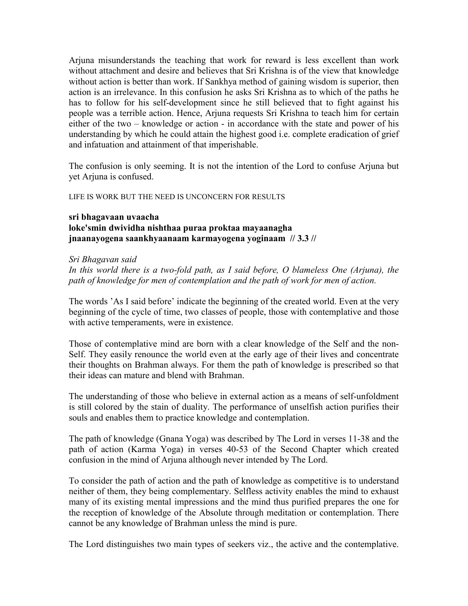Arjuna misunderstands the teaching that work for reward is less excellent than work without attachment and desire and believes that Sri Krishna is of the view that knowledge without action is better than work. If Sankhya method of gaining wisdom is superior, then action is an irrelevance. In this confusion he asks Sri Krishna as to which of the paths he has to follow for his self-development since he still believed that to fight against his people was a terrible action. Hence, Arjuna requests Sri Krishna to teach him for certain either of the two – knowledge or action - in accordance with the state and power of his understanding by which he could attain the highest good i.e. complete eradication of grief and infatuation and attainment of that imperishable.

The confusion is only seeming. It is not the intention of the Lord to confuse Arjuna but yet Arjuna is confused.

LIFE IS WORK BUT THE NEED IS UNCONCERN FOR RESULTS

#### **sri bhagavaan uvaacha loke'smin dwividha nishthaa puraa proktaa mayaanagha jnaanayogena saankhyaanaam karmayogena yoginaam // 3.3 //**

#### *Sri Bhagavan said*

In this world there is a two-fold path, as I said before, O blameless One (Arjuna), the *path of knowledge for men of contemplation and the path of work for men of action.* 

The words 'As I said before' indicate the beginning of the created world. Even at the very beginning of the cycle of time, two classes of people, those with contemplative and those with active temperaments, were in existence.

Those of contemplative mind are born with a clear knowledge of the Self and the non-Self. They easily renounce the world even at the early age of their lives and concentrate their thoughts on Brahman always. For them the path of knowledge is prescribed so that their ideas can mature and blend with Brahman.

The understanding of those who believe in external action as a means of self-unfoldment is still colored by the stain of duality. The performance of unselfish action purifies their souls and enables them to practice knowledge and contemplation.

The path of knowledge (Gnana Yoga) was described by The Lord in verses 11-38 and the path of action (Karma Yoga) in verses 40-53 of the Second Chapter which created confusion in the mind of Arjuna although never intended by The Lord.

To consider the path of action and the path of knowledge as competitive is to understand neither of them, they being complementary. Selfless activity enables the mind to exhaust many of its existing mental impressions and the mind thus purified prepares the one for the reception of knowledge of the Absolute through meditation or contemplation. There cannot be any knowledge of Brahman unless the mind is pure.

The Lord distinguishes two main types of seekers viz., the active and the contemplative.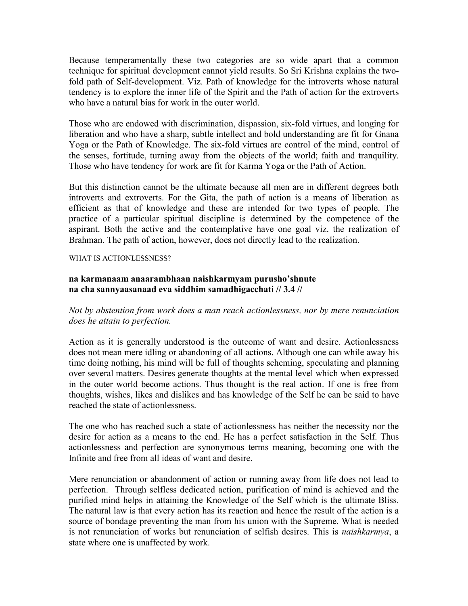Because temperamentally these two categories are so wide apart that a common technique for spiritual development cannot yield results. So Sri Krishna explains the twofold path of Self-development. Viz. Path of knowledge for the introverts whose natural tendency is to explore the inner life of the Spirit and the Path of action for the extroverts who have a natural bias for work in the outer world.

Those who are endowed with discrimination, dispassion, six-fold virtues, and longing for liberation and who have a sharp, subtle intellect and bold understanding are fit for Gnana Yoga or the Path of Knowledge. The six-fold virtues are control of the mind, control of the senses, fortitude, turning away from the objects of the world; faith and tranquility. Those who have tendency for work are fit for Karma Yoga or the Path of Action.

But this distinction cannot be the ultimate because all men are in different degrees both introverts and extroverts. For the Gita, the path of action is a means of liberation as efficient as that of knowledge and these are intended for two types of people. The practice of a particular spiritual discipline is determined by the competence of the aspirant. Both the active and the contemplative have one goal viz. the realization of Brahman. The path of action, however, does not directly lead to the realization.

#### WHAT IS ACTIONLESSNESS?

#### **na karmanaam anaarambhaan naishkarmyam purusho'shnute na cha sannyaasanaad eva siddhim samadhigacchati // 3.4 //**

*Not by abstention from work does a man reach actionlessness, nor by mere renunciation does he attain to perfection.* 

Action as it is generally understood is the outcome of want and desire. Actionlessness does not mean mere idling or abandoning of all actions. Although one can while away his time doing nothing, his mind will be full of thoughts scheming, speculating and planning over several matters. Desires generate thoughts at the mental level which when expressed in the outer world become actions. Thus thought is the real action. If one is free from thoughts, wishes, likes and dislikes and has knowledge of the Self he can be said to have reached the state of actionlessness.

The one who has reached such a state of actionlessness has neither the necessity nor the desire for action as a means to the end. He has a perfect satisfaction in the Self. Thus actionlessness and perfection are synonymous terms meaning, becoming one with the Infinite and free from all ideas of want and desire.

Mere renunciation or abandonment of action or running away from life does not lead to perfection. Through selfless dedicated action, purification of mind is achieved and the purified mind helps in attaining the Knowledge of the Self which is the ultimate Bliss. The natural law is that every action has its reaction and hence the result of the action is a source of bondage preventing the man from his union with the Supreme. What is needed is not renunciation of works but renunciation of selfish desires. This is *naishkarmya*, a state where one is unaffected by work.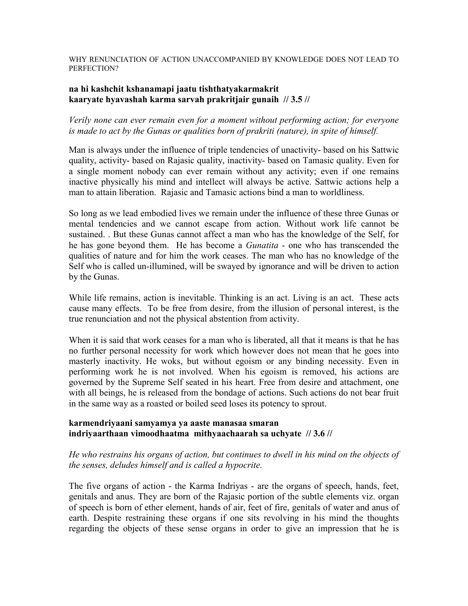#### WHY RENUNCIATION OF ACTION UNACCOMPANIED BY KNOWLEDGE DOES NOT LEAD TO PERFECTION?

#### **na hi kashchit kshanamapi jaatu tishthatyakarmakrit kaaryate hyavashah karma sarvah prakritjair gunaih // 3.5 //**

#### *Verily none can ever remain even for a moment without performing action; for everyone is made to act by the Gunas or qualities born of prakriti (nature), in spite of himself.*

Man is always under the influence of triple tendencies of unactivity- based on his Sattwic quality, activity- based on Rajasic quality, inactivity- based on Tamasic quality. Even for a single moment nobody can ever remain without any activity; even if one remains inactive physically his mind and intellect will always be active. Sattwic actions help a man to attain liberation. Rajasic and Tamasic actions bind a man to worldliness.

So long as we lead embodied lives we remain under the influence of these three Gunas or mental tendencies and we cannot escape from action. Without work life cannot be sustained. . But these Gunas cannot affect a man who has the knowledge of the Self, for he has gone beyond them. He has become a *Gunatita* - one who has transcended the qualities of nature and for him the work ceases. The man who has no knowledge of the Self who is called un-illumined, will be swayed by ignorance and will be driven to action by the Gunas.

While life remains, action is inevitable. Thinking is an act. Living is an act. These acts cause many effects. To be free from desire, from the illusion of personal interest, is the true renunciation and not the physical abstention from activity.

When it is said that work ceases for a man who is liberated, all that it means is that he has no further personal necessity for work which however does not mean that he goes into masterly inactivity. He woks, but without egoism or any binding necessity. Even in performing work he is not involved. When his egoism is removed, his actions are governed by the Supreme Self seated in his heart. Free from desire and attachment, one with all beings, he is released from the bondage of actions. Such actions do not bear fruit in the same way as a roasted or boiled seed loses its potency to sprout.

#### **karmendriyaani samyamya ya aaste manasaa smaran indriyaarthaan vimoodhaatma mithyaachaarah sa uchyate // 3.6 //**

#### *He who restrains his organs of action, but continues to dwell in his mind on the objects of the senses, deludes himself and is called a hypocrite.*

The five organs of action - the Karma Indriyas - are the organs of speech, hands, feet, genitals and anus. They are born of the Rajasic portion of the subtle elements viz. organ of speech is born of ether element, hands of air, feet of fire, genitals of water and anus of earth. Despite restraining these organs if one sits revolving in his mind the thoughts regarding the objects of these sense organs in order to give an impression that he is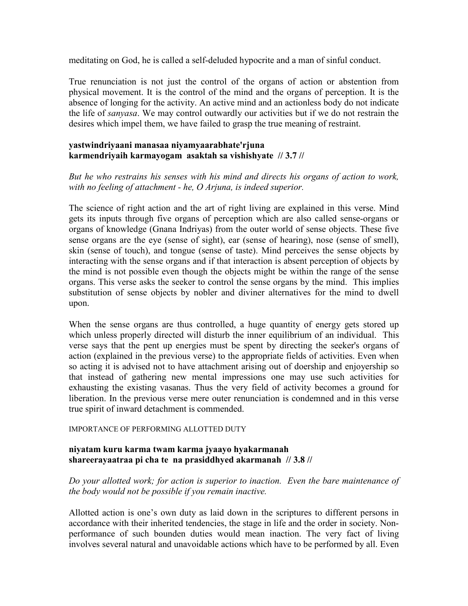meditating on God, he is called a self-deluded hypocrite and a man of sinful conduct.

True renunciation is not just the control of the organs of action or abstention from physical movement. It is the control of the mind and the organs of perception. It is the absence of longing for the activity. An active mind and an actionless body do not indicate the life of *sanyasa*. We may control outwardly our activities but if we do not restrain the desires which impel them, we have failed to grasp the true meaning of restraint.

#### **yastwindriyaani manasaa niyamyaarabhate'rjuna karmendriyaih karmayogam asaktah sa vishishyate // 3.7 //**

*But he who restrains his senses with his mind and directs his organs of action to work, with no feeling of attachment - he, O Arjuna, is indeed superior.* 

The science of right action and the art of right living are explained in this verse. Mind gets its inputs through five organs of perception which are also called sense-organs or organs of knowledge (Gnana Indriyas) from the outer world of sense objects. These five sense organs are the eye (sense of sight), ear (sense of hearing), nose (sense of smell), skin (sense of touch), and tongue (sense of taste). Mind perceives the sense objects by interacting with the sense organs and if that interaction is absent perception of objects by the mind is not possible even though the objects might be within the range of the sense organs. This verse asks the seeker to control the sense organs by the mind. This implies substitution of sense objects by nobler and diviner alternatives for the mind to dwell upon.

When the sense organs are thus controlled, a huge quantity of energy gets stored up which unless properly directed will disturb the inner equilibrium of an individual. This verse says that the pent up energies must be spent by directing the seeker's organs of action (explained in the previous verse) to the appropriate fields of activities. Even when so acting it is advised not to have attachment arising out of doership and enjoyership so that instead of gathering new mental impressions one may use such activities for exhausting the existing vasanas. Thus the very field of activity becomes a ground for liberation. In the previous verse mere outer renunciation is condemned and in this verse true spirit of inward detachment is commended.

#### IMPORTANCE OF PERFORMING ALLOTTED DUTY

#### **niyatam kuru karma twam karma jyaayo hyakarmanah shareerayaatraa pi cha te na prasiddhyed akarmanah // 3.8 //**

#### *Do your allotted work; for action is superior to inaction. Even the bare maintenance of the body would not be possible if you remain inactive.*

Allotted action is one's own duty as laid down in the scriptures to different persons in accordance with their inherited tendencies, the stage in life and the order in society. Nonperformance of such bounden duties would mean inaction. The very fact of living involves several natural and unavoidable actions which have to be performed by all. Even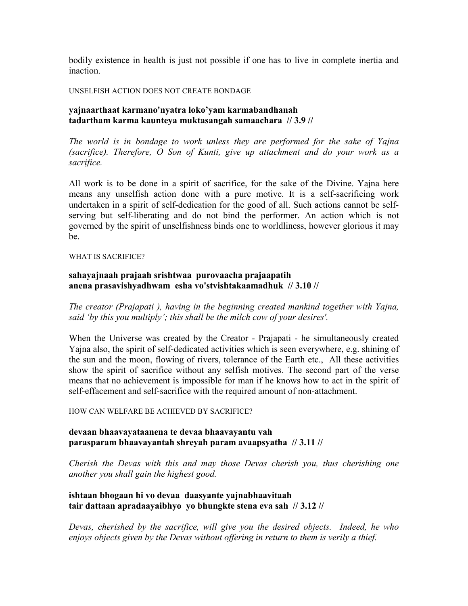bodily existence in health is just not possible if one has to live in complete inertia and inaction.

UNSELFISH ACTION DOES NOT CREATE BONDAGE

#### **yajnaarthaat karmano'nyatra loko'yam karmabandhanah tadartham karma kaunteya muktasangah samaachara // 3.9 //**

*The world is in bondage to work unless they are performed for the sake of Yajna (sacrifice). Therefore, O Son of Kunti, give up attachment and do your work as a sacrifice.* 

All work is to be done in a spirit of sacrifice, for the sake of the Divine. Yajna here means any unselfish action done with a pure motive. It is a self-sacrificing work undertaken in a spirit of self-dedication for the good of all. Such actions cannot be selfserving but self-liberating and do not bind the performer. An action which is not governed by the spirit of unselfishness binds one to worldliness, however glorious it may be.

#### WHAT IS SACRIFICE?

#### **sahayajnaah prajaah srishtwaa purovaacha prajaapatih anena prasavishyadhwam esha vo'stvishtakaamadhuk // 3.10 //**

*The creator (Prajapati ), having in the beginning created mankind together with Yajna, said 'by this you multiply'; this shall be the milch cow of your desires'.* 

When the Universe was created by the Creator - Prajapati - he simultaneously created Yajna also, the spirit of self-dedicated activities which is seen everywhere, e.g. shining of the sun and the moon, flowing of rivers, tolerance of the Earth etc., All these activities show the spirit of sacrifice without any selfish motives. The second part of the verse means that no achievement is impossible for man if he knows how to act in the spirit of self-effacement and self-sacrifice with the required amount of non-attachment.

#### HOW CAN WELFARE BE ACHIEVED BY SACRIFICE?

#### **devaan bhaavayataanena te devaa bhaavayantu vah parasparam bhaavayantah shreyah param avaapsyatha // 3.11 //**

*Cherish the Devas with this and may those Devas cherish you, thus cherishing one another you shall gain the highest good.* 

#### **ishtaan bhogaan hi vo devaa daasyante yajnabhaavitaah tair dattaan apradaayaibhyo yo bhungkte stena eva sah // 3.12 //**

*Devas, cherished by the sacrifice, will give you the desired objects. Indeed, he who enjoys objects given by the Devas without offering in return to them is verily a thief.*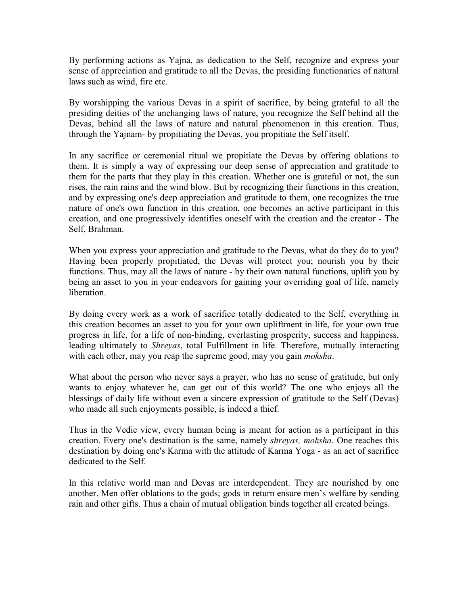By performing actions as Yajna, as dedication to the Self, recognize and express your sense of appreciation and gratitude to all the Devas, the presiding functionaries of natural laws such as wind, fire etc.

By worshipping the various Devas in a spirit of sacrifice, by being grateful to all the presiding deities of the unchanging laws of nature, you recognize the Self behind all the Devas, behind all the laws of nature and natural phenomenon in this creation. Thus, through the Yajnam- by propitiating the Devas, you propitiate the Self itself.

In any sacrifice or ceremonial ritual we propitiate the Devas by offering oblations to them. It is simply a way of expressing our deep sense of appreciation and gratitude to them for the parts that they play in this creation. Whether one is grateful or not, the sun rises, the rain rains and the wind blow. But by recognizing their functions in this creation, and by expressing one's deep appreciation and gratitude to them, one recognizes the true nature of one's own function in this creation, one becomes an active participant in this creation, and one progressively identifies oneself with the creation and the creator - The Self, Brahman.

When you express your appreciation and gratitude to the Devas, what do they do to you? Having been properly propitiated, the Devas will protect you; nourish you by their functions. Thus, may all the laws of nature - by their own natural functions, uplift you by being an asset to you in your endeavors for gaining your overriding goal of life, namely liberation.

By doing every work as a work of sacrifice totally dedicated to the Self, everything in this creation becomes an asset to you for your own upliftment in life, for your own true progress in life, for a life of non-binding, everlasting prosperity, success and happiness, leading ultimately to *Shreyas*, total Fulfillment in life. Therefore, mutually interacting with each other, may you reap the supreme good, may you gain *moksha*.

What about the person who never says a prayer, who has no sense of gratitude, but only wants to enjoy whatever he, can get out of this world? The one who enjoys all the blessings of daily life without even a sincere expression of gratitude to the Self (Devas) who made all such enjoyments possible, is indeed a thief.

Thus in the Vedic view, every human being is meant for action as a participant in this creation. Every one's destination is the same, namely *shreyas, moksha*. One reaches this destination by doing one's Karma with the attitude of Karma Yoga - as an act of sacrifice dedicated to the Self.

In this relative world man and Devas are interdependent. They are nourished by one another. Men offer oblations to the gods; gods in return ensure men's welfare by sending rain and other gifts. Thus a chain of mutual obligation binds together all created beings.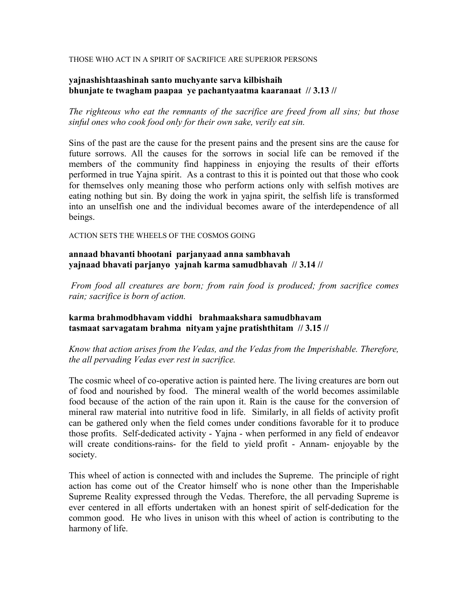#### THOSE WHO ACT IN A SPIRIT OF SACRIFICE ARE SUPERIOR PERSONS

#### **yajnashishtaashinah santo muchyante sarva kilbishaih bhunjate te twagham paapaa ye pachantyaatma kaaranaat // 3.13 //**

*The righteous who eat the remnants of the sacrifice are freed from all sins; but those sinful ones who cook food only for their own sake, verily eat sin.* 

Sins of the past are the cause for the present pains and the present sins are the cause for future sorrows. All the causes for the sorrows in social life can be removed if the members of the community find happiness in enjoying the results of their efforts performed in true Yajna spirit. As a contrast to this it is pointed out that those who cook for themselves only meaning those who perform actions only with selfish motives are eating nothing but sin. By doing the work in yajna spirit, the selfish life is transformed into an unselfish one and the individual becomes aware of the interdependence of all beings.

ACTION SETS THE WHEELS OF THE COSMOS GOING

**annaad bhavanti bhootani parjanyaad anna sambhavah yajnaad bhavati parjanyo yajnah karma samudbhavah // 3.14 //** 

 *From food all creatures are born; from rain food is produced; from sacrifice comes rain; sacrifice is born of action.* 

**karma brahmodbhavam viddhi brahmaakshara samudbhavam tasmaat sarvagatam brahma nityam yajne pratishthitam // 3.15 //** 

*Know that action arises from the Vedas, and the Vedas from the Imperishable. Therefore, the all pervading Vedas ever rest in sacrifice.* 

The cosmic wheel of co-operative action is painted here. The living creatures are born out of food and nourished by food. The mineral wealth of the world becomes assimilable food because of the action of the rain upon it. Rain is the cause for the conversion of mineral raw material into nutritive food in life. Similarly, in all fields of activity profit can be gathered only when the field comes under conditions favorable for it to produce those profits. Self-dedicated activity - Yajna - when performed in any field of endeavor will create conditions-rains- for the field to yield profit - Annam- enjoyable by the society.

This wheel of action is connected with and includes the Supreme. The principle of right action has come out of the Creator himself who is none other than the Imperishable Supreme Reality expressed through the Vedas. Therefore, the all pervading Supreme is ever centered in all efforts undertaken with an honest spirit of self-dedication for the common good. He who lives in unison with this wheel of action is contributing to the harmony of life.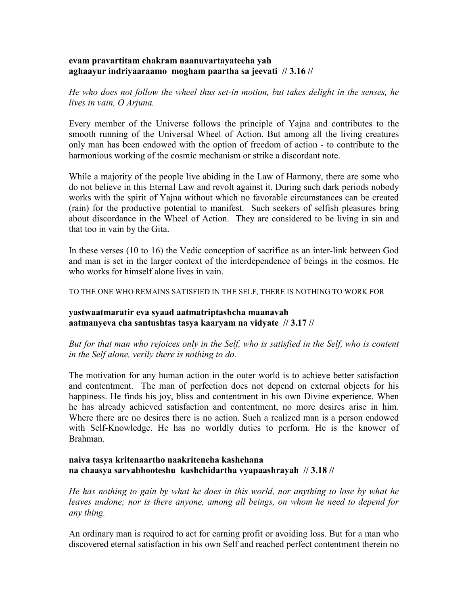#### **evam pravartitam chakram naanuvartayateeha yah aghaayur indriyaaraamo mogham paartha sa jeevati // 3.16 //**

*He who does not follow the wheel thus set-in motion, but takes delight in the senses, he lives in vain, O Arjuna.* 

Every member of the Universe follows the principle of Yajna and contributes to the smooth running of the Universal Wheel of Action. But among all the living creatures only man has been endowed with the option of freedom of action - to contribute to the harmonious working of the cosmic mechanism or strike a discordant note.

While a majority of the people live abiding in the Law of Harmony, there are some who do not believe in this Eternal Law and revolt against it. During such dark periods nobody works with the spirit of Yajna without which no favorable circumstances can be created (rain) for the productive potential to manifest. Such seekers of selfish pleasures bring about discordance in the Wheel of Action. They are considered to be living in sin and that too in vain by the Gita.

In these verses (10 to 16) the Vedic conception of sacrifice as an inter-link between God and man is set in the larger context of the interdependence of beings in the cosmos. He who works for himself alone lives in vain.

TO THE ONE WHO REMAINS SATISFIED IN THE SELF, THERE IS NOTHING TO WORK FOR

#### **yastwaatmaratir eva syaad aatmatriptashcha maanavah aatmanyeva cha santushtas tasya kaaryam na vidyate // 3.17 //**

*But for that man who rejoices only in the Self, who is satisfied in the Self, who is content in the Self alone, verily there is nothing to do.* 

The motivation for any human action in the outer world is to achieve better satisfaction and contentment. The man of perfection does not depend on external objects for his happiness. He finds his joy, bliss and contentment in his own Divine experience. When he has already achieved satisfaction and contentment, no more desires arise in him. Where there are no desires there is no action. Such a realized man is a person endowed with Self-Knowledge. He has no worldly duties to perform. He is the knower of Brahman.

#### **naiva tasya kritenaartho naakriteneha kashchana na chaasya sarvabhooteshu kashchidartha vyapaashrayah // 3.18 //**

*He has nothing to gain by what he does in this world, nor anything to lose by what he leaves undone; nor is there anyone, among all beings, on whom he need to depend for any thing.* 

An ordinary man is required to act for earning profit or avoiding loss. But for a man who discovered eternal satisfaction in his own Self and reached perfect contentment therein no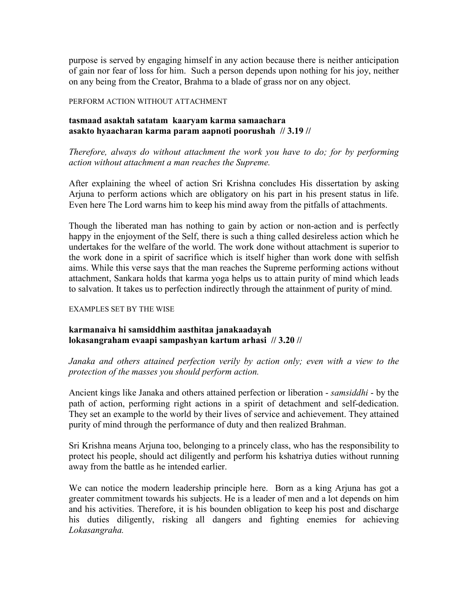purpose is served by engaging himself in any action because there is neither anticipation of gain nor fear of loss for him. Such a person depends upon nothing for his joy, neither on any being from the Creator, Brahma to a blade of grass nor on any object.

#### PERFORM ACTION WITHOUT ATTACHMENT

#### **tasmaad asaktah satatam kaaryam karma samaachara asakto hyaacharan karma param aapnoti poorushah // 3.19 //**

#### *Therefore, always do without attachment the work you have to do; for by performing action without attachment a man reaches the Supreme.*

After explaining the wheel of action Sri Krishna concludes His dissertation by asking Arjuna to perform actions which are obligatory on his part in his present status in life. Even here The Lord warns him to keep his mind away from the pitfalls of attachments.

Though the liberated man has nothing to gain by action or non-action and is perfectly happy in the enjoyment of the Self, there is such a thing called desireless action which he undertakes for the welfare of the world. The work done without attachment is superior to the work done in a spirit of sacrifice which is itself higher than work done with selfish aims. While this verse says that the man reaches the Supreme performing actions without attachment, Sankara holds that karma yoga helps us to attain purity of mind which leads to salvation. It takes us to perfection indirectly through the attainment of purity of mind.

#### EXAMPLES SET BY THE WISE

#### **karmanaiva hi samsiddhim aasthitaa janakaadayah lokasangraham evaapi sampashyan kartum arhasi // 3.20 //**

*Janaka and others attained perfection verily by action only; even with a view to the protection of the masses you should perform action.* 

Ancient kings like Janaka and others attained perfection or liberation - *samsiddhi* - by the path of action, performing right actions in a spirit of detachment and self-dedication. They set an example to the world by their lives of service and achievement. They attained purity of mind through the performance of duty and then realized Brahman.

Sri Krishna means Arjuna too, belonging to a princely class, who has the responsibility to protect his people, should act diligently and perform his kshatriya duties without running away from the battle as he intended earlier.

We can notice the modern leadership principle here. Born as a king Arjuna has got a greater commitment towards his subjects. He is a leader of men and a lot depends on him and his activities. Therefore, it is his bounden obligation to keep his post and discharge his duties diligently, risking all dangers and fighting enemies for achieving *Lokasangraha.*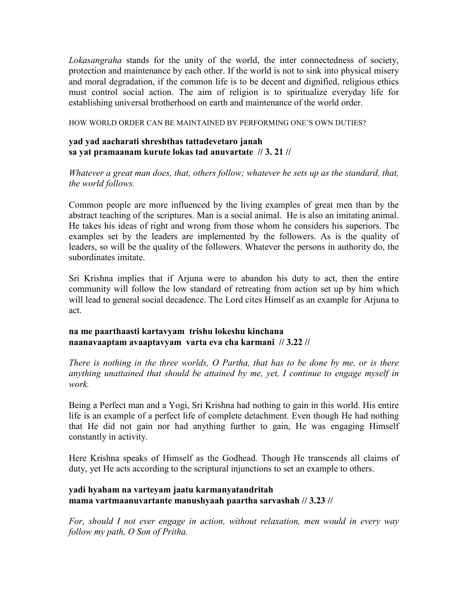*Lokasangraha* stands for the unity of the world, the inter connectedness of society, protection and maintenance by each other. If the world is not to sink into physical misery and moral degradation, if the common life is to be decent and dignified, religious ethics must control social action. The aim of religion is to spiritualize everyday life for establishing universal brotherhood on earth and maintenance of the world order.

HOW WORLD ORDER CAN BE MAINTAINED BY PERFORMING ONE'S OWN DUTIES?

#### **yad yad aacharati shreshthas tattadevetaro janah sa yat pramaanam kurute lokas tad anuvartate // 3. 21 //**

*Whatever a great man does, that, others follow; whatever he sets up as the standard, that, the world follows.* 

Common people are more influenced by the living examples of great men than by the abstract teaching of the scriptures. Man is a social animal. He is also an imitating animal. He takes his ideas of right and wrong from those whom he considers his superiors. The examples set by the leaders are implemented by the followers. As is the quality of leaders, so will be the quality of the followers. Whatever the persons in authority do, the subordinates imitate.

Sri Krishna implies that if Arjuna were to abandon his duty to act, then the entire community will follow the low standard of retreating from action set up by him which will lead to general social decadence. The Lord cites Himself as an example for Arjuna to act.

#### **na me paarthaasti kartavyam trishu lokeshu kinchana naanavaaptam avaaptavyam varta eva cha karmani // 3.22 //**

*There is nothing in the three worlds, O Partha, that has to be done by me, or is there anything unattained that should be attained by me, yet, I continue to engage myself in work.* 

Being a Perfect man and a Yogi, Sri Krishna had nothing to gain in this world. His entire life is an example of a perfect life of complete detachment. Even though He had nothing that He did not gain nor had anything further to gain, He was engaging Himself constantly in activity.

Here Krishna speaks of Himself as the Godhead. Though He transcends all claims of duty, yet He acts according to the scriptural injunctions to set an example to others.

#### **yadi hyaham na varteyam jaatu karmanyatandritah mama vartmaanuvartante manushyaah paartha sarvashah // 3.23 //**

*For, should I not ever engage in action, without relaxation, men would in every way follow my path, O Son of Pritha.*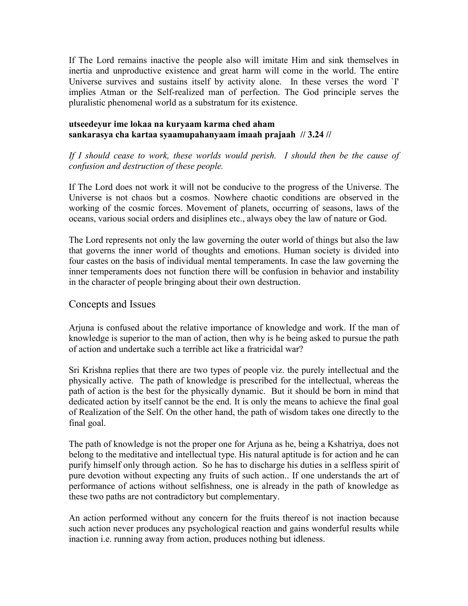If The Lord remains inactive the people also will imitate Him and sink themselves in inertia and unproductive existence and great harm will come in the world. The entire Universe survives and sustains itself by activity alone. In these verses the word `I' implies Atman or the Self-realized man of perfection. The God principle serves the pluralistic phenomenal world as a substratum for its existence.

#### **utseedeyur ime lokaa na kuryaam karma ched aham sankarasya cha kartaa syaamupahanyaam imaah prajaah // 3.24 //**

If I should cease to work, these worlds would perish. I should then be the cause of *confusion and destruction of these people.* 

If The Lord does not work it will not be conducive to the progress of the Universe. The Universe is not chaos but a cosmos. Nowhere chaotic conditions are observed in the working of the cosmic forces. Movement of planets, occurring of seasons, laws of the oceans, various social orders and disiplines etc., always obey the law of nature or God.

The Lord represents not only the law governing the outer world of things but also the law that governs the inner world of thoughts and emotions. Human society is divided into four castes on the basis of individual mental temperaments. In case the law governing the inner temperaments does not function there will be confusion in behavior and instability in the character of people bringing about their own destruction.

#### Concepts and Issues

Arjuna is confused about the relative importance of knowledge and work. If the man of knowledge is superior to the man of action, then why is he being asked to pursue the path of action and undertake such a terrible act like a fratricidal war?

Sri Krishna replies that there are two types of people viz. the purely intellectual and the physically active. The path of knowledge is prescribed for the intellectual, whereas the path of action is the best for the physically dynamic. But it should be born in mind that dedicated action by itself cannot be the end. It is only the means to achieve the final goal of Realization of the Self. On the other hand, the path of wisdom takes one directly to the final goal.

The path of knowledge is not the proper one for Arjuna as he, being a Kshatriya, does not belong to the meditative and intellectual type. His natural aptitude is for action and he can purify himself only through action. So he has to discharge his duties in a selfless spirit of pure devotion without expecting any fruits of such action.. If one understands the art of performance of actions without selfishness, one is already in the path of knowledge as these two paths are not contradictory but complementary.

An action performed without any concern for the fruits thereof is not inaction because such action never produces any psychological reaction and gains wonderful results while inaction i.e. running away from action, produces nothing but idleness.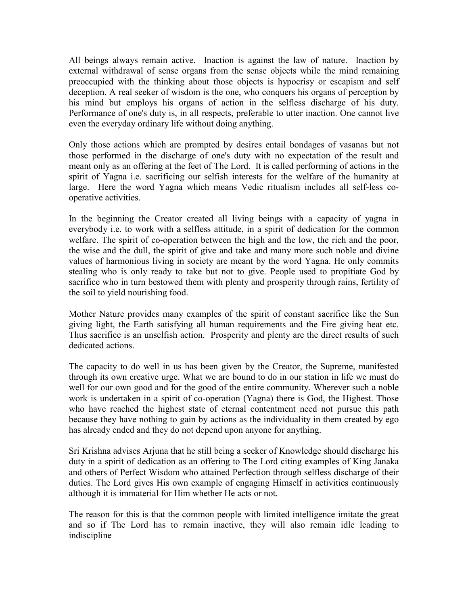All beings always remain active. Inaction is against the law of nature. Inaction by external withdrawal of sense organs from the sense objects while the mind remaining preoccupied with the thinking about those objects is hypocrisy or escapism and self deception. A real seeker of wisdom is the one, who conquers his organs of perception by his mind but employs his organs of action in the selfless discharge of his duty. Performance of one's duty is, in all respects, preferable to utter inaction. One cannot live even the everyday ordinary life without doing anything.

Only those actions which are prompted by desires entail bondages of vasanas but not those performed in the discharge of one's duty with no expectation of the result and meant only as an offering at the feet of The Lord. It is called performing of actions in the spirit of Yagna i.e. sacrificing our selfish interests for the welfare of the humanity at large. Here the word Yagna which means Vedic ritualism includes all self-less cooperative activities.

In the beginning the Creator created all living beings with a capacity of yagna in everybody i.e. to work with a selfless attitude, in a spirit of dedication for the common welfare. The spirit of co-operation between the high and the low, the rich and the poor, the wise and the dull, the spirit of give and take and many more such noble and divine values of harmonious living in society are meant by the word Yagna. He only commits stealing who is only ready to take but not to give. People used to propitiate God by sacrifice who in turn bestowed them with plenty and prosperity through rains, fertility of the soil to yield nourishing food.

Mother Nature provides many examples of the spirit of constant sacrifice like the Sun giving light, the Earth satisfying all human requirements and the Fire giving heat etc. Thus sacrifice is an unselfish action. Prosperity and plenty are the direct results of such dedicated actions.

The capacity to do well in us has been given by the Creator, the Supreme, manifested through its own creative urge. What we are bound to do in our station in life we must do well for our own good and for the good of the entire community. Wherever such a noble work is undertaken in a spirit of co-operation (Yagna) there is God, the Highest. Those who have reached the highest state of eternal contentment need not pursue this path because they have nothing to gain by actions as the individuality in them created by ego has already ended and they do not depend upon anyone for anything.

Sri Krishna advises Arjuna that he still being a seeker of Knowledge should discharge his duty in a spirit of dedication as an offering to The Lord citing examples of King Janaka and others of Perfect Wisdom who attained Perfection through selfless discharge of their duties. The Lord gives His own example of engaging Himself in activities continuously although it is immaterial for Him whether He acts or not.

The reason for this is that the common people with limited intelligence imitate the great and so if The Lord has to remain inactive, they will also remain idle leading to indiscipline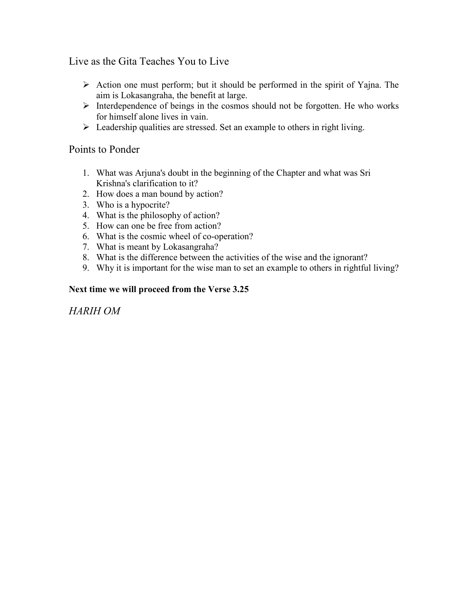Live as the Gita Teaches You to Live

- $\triangleright$  Action one must perform; but it should be performed in the spirit of Yajna. The aim is Lokasangraha, the benefit at large.
- $\triangleright$  Interdependence of beings in the cosmos should not be forgotten. He who works for himself alone lives in vain.
- $\triangleright$  Leadership qualities are stressed. Set an example to others in right living.

#### Points to Ponder

- 1. What was Arjuna's doubt in the beginning of the Chapter and what was Sri Krishna's clarification to it?
- 2. How does a man bound by action?
- 3. Who is a hypocrite?
- 4. What is the philosophy of action?
- 5. How can one be free from action?
- 6. What is the cosmic wheel of co-operation?
- 7. What is meant by Lokasangraha?
- 8. What is the difference between the activities of the wise and the ignorant?
- 9. Why it is important for the wise man to set an example to others in rightful living?

#### **Next time we will proceed from the Verse 3.25**

*HARIH OM*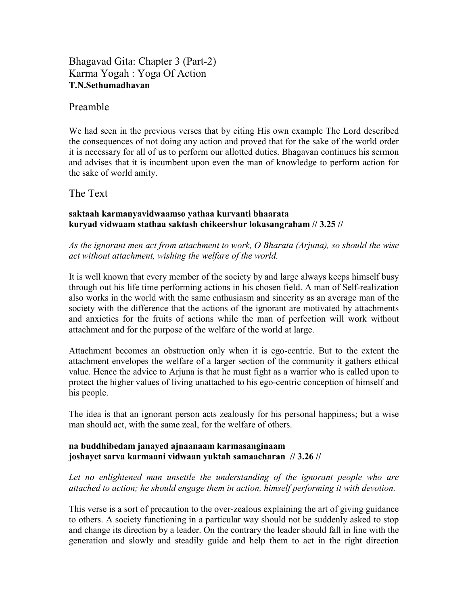Bhagavad Gita: Chapter 3 (Part-2) Karma Yogah : Yoga Of Action **T.N.Sethumadhavan** 

#### Preamble

We had seen in the previous verses that by citing His own example The Lord described the consequences of not doing any action and proved that for the sake of the world order it is necessary for all of us to perform our allotted duties. Bhagavan continues his sermon and advises that it is incumbent upon even the man of knowledge to perform action for the sake of world amity.

The Text

#### **saktaah karmanyavidwaamso yathaa kurvanti bhaarata kuryad vidwaam stathaa saktash chikeershur lokasangraham // 3.25 //**

*As the ignorant men act from attachment to work, O Bharata (Arjuna), so should the wise act without attachment, wishing the welfare of the world.* 

It is well known that every member of the society by and large always keeps himself busy through out his life time performing actions in his chosen field. A man of Self-realization also works in the world with the same enthusiasm and sincerity as an average man of the society with the difference that the actions of the ignorant are motivated by attachments and anxieties for the fruits of actions while the man of perfection will work without attachment and for the purpose of the welfare of the world at large.

Attachment becomes an obstruction only when it is ego-centric. But to the extent the attachment envelopes the welfare of a larger section of the community it gathers ethical value. Hence the advice to Arjuna is that he must fight as a warrior who is called upon to protect the higher values of living unattached to his ego-centric conception of himself and his people.

The idea is that an ignorant person acts zealously for his personal happiness; but a wise man should act, with the same zeal, for the welfare of others.

#### **na buddhibedam janayed ajnaanaam karmasanginaam joshayet sarva karmaani vidwaan yuktah samaacharan // 3.26 //**

Let no enlightened man unsettle the understanding of the ignorant people who are *attached to action; he should engage them in action, himself performing it with devotion.* 

This verse is a sort of precaution to the over-zealous explaining the art of giving guidance to others. A society functioning in a particular way should not be suddenly asked to stop and change its direction by a leader. On the contrary the leader should fall in line with the generation and slowly and steadily guide and help them to act in the right direction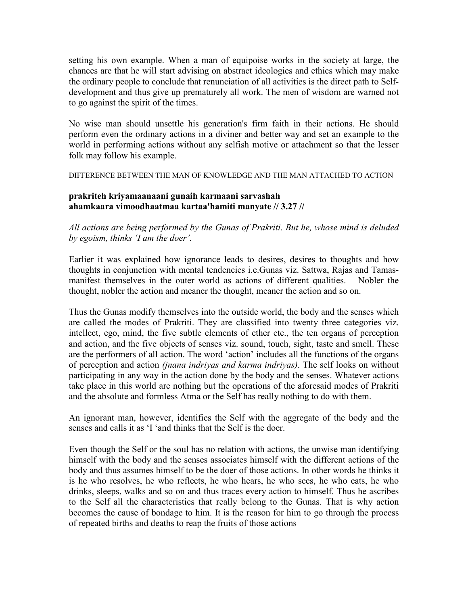setting his own example. When a man of equipoise works in the society at large, the chances are that he will start advising on abstract ideologies and ethics which may make the ordinary people to conclude that renunciation of all activities is the direct path to Selfdevelopment and thus give up prematurely all work. The men of wisdom are warned not to go against the spirit of the times.

No wise man should unsettle his generation's firm faith in their actions. He should perform even the ordinary actions in a diviner and better way and set an example to the world in performing actions without any selfish motive or attachment so that the lesser folk may follow his example.

DIFFERENCE BETWEEN THE MAN OF KNOWLEDGE AND THE MAN ATTACHED TO ACTION

#### **prakriteh kriyamaanaani gunaih karmaani sarvashah ahamkaara vimoodhaatmaa kartaa'hamiti manyate // 3.27 //**

*All actions are being performed by the Gunas of Prakriti. But he, whose mind is deluded by egoism, thinks 'I am the doer'.* 

Earlier it was explained how ignorance leads to desires, desires to thoughts and how thoughts in conjunction with mental tendencies i.e.Gunas viz. Sattwa, Rajas and Tamasmanifest themselves in the outer world as actions of different qualities. Nobler the thought, nobler the action and meaner the thought, meaner the action and so on.

Thus the Gunas modify themselves into the outside world, the body and the senses which are called the modes of Prakriti. They are classified into twenty three categories viz. intellect, ego, mind, the five subtle elements of ether etc., the ten organs of perception and action, and the five objects of senses viz. sound, touch, sight, taste and smell. These are the performers of all action. The word 'action' includes all the functions of the organs of perception and action *(jnana indriyas and karma indriyas)*. The self looks on without participating in any way in the action done by the body and the senses. Whatever actions take place in this world are nothing but the operations of the aforesaid modes of Prakriti and the absolute and formless Atma or the Self has really nothing to do with them.

An ignorant man, however, identifies the Self with the aggregate of the body and the senses and calls it as 'I 'and thinks that the Self is the doer.

Even though the Self or the soul has no relation with actions, the unwise man identifying himself with the body and the senses associates himself with the different actions of the body and thus assumes himself to be the doer of those actions. In other words he thinks it is he who resolves, he who reflects, he who hears, he who sees, he who eats, he who drinks, sleeps, walks and so on and thus traces every action to himself. Thus he ascribes to the Self all the characteristics that really belong to the Gunas. That is why action becomes the cause of bondage to him. It is the reason for him to go through the process of repeated births and deaths to reap the fruits of those actions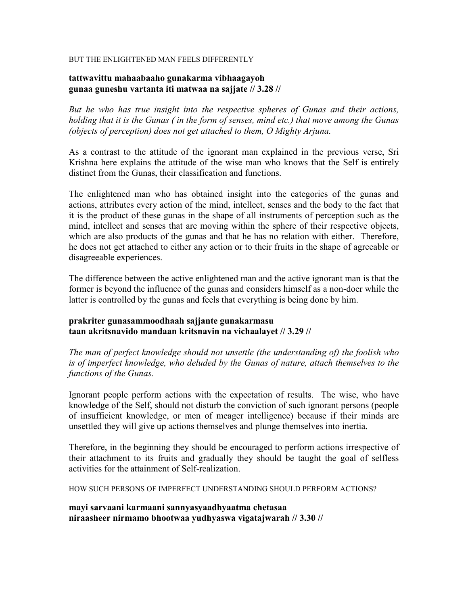#### BUT THE ENLIGHTENED MAN FEELS DIFFERENTLY

#### **tattwavittu mahaabaaho gunakarma vibhaagayoh gunaa guneshu vartanta iti matwaa na sajjate // 3.28 //**

*But he who has true insight into the respective spheres of Gunas and their actions, holding that it is the Gunas ( in the form of senses, mind etc.) that move among the Gunas (objects of perception) does not get attached to them, O Mighty Arjuna.* 

As a contrast to the attitude of the ignorant man explained in the previous verse, Sri Krishna here explains the attitude of the wise man who knows that the Self is entirely distinct from the Gunas, their classification and functions.

The enlightened man who has obtained insight into the categories of the gunas and actions, attributes every action of the mind, intellect, senses and the body to the fact that it is the product of these gunas in the shape of all instruments of perception such as the mind, intellect and senses that are moving within the sphere of their respective objects, which are also products of the gunas and that he has no relation with either. Therefore, he does not get attached to either any action or to their fruits in the shape of agreeable or disagreeable experiences.

The difference between the active enlightened man and the active ignorant man is that the former is beyond the influence of the gunas and considers himself as a non-doer while the latter is controlled by the gunas and feels that everything is being done by him.

#### **prakriter gunasammoodhaah sajjante gunakarmasu taan akritsnavido mandaan kritsnavin na vichaalayet // 3.29 //**

*The man of perfect knowledge should not unsettle (the understanding of) the foolish who is of imperfect knowledge, who deluded by the Gunas of nature, attach themselves to the functions of the Gunas.* 

Ignorant people perform actions with the expectation of results. The wise, who have knowledge of the Self, should not disturb the conviction of such ignorant persons (people of insufficient knowledge, or men of meager intelligence) because if their minds are unsettled they will give up actions themselves and plunge themselves into inertia.

Therefore, in the beginning they should be encouraged to perform actions irrespective of their attachment to its fruits and gradually they should be taught the goal of selfless activities for the attainment of Self-realization.

HOW SUCH PERSONS OF IMPERFECT UNDERSTANDING SHOULD PERFORM ACTIONS?

**mayi sarvaani karmaani sannyasyaadhyaatma chetasaa niraasheer nirmamo bhootwaa yudhyaswa vigatajwarah // 3.30 //**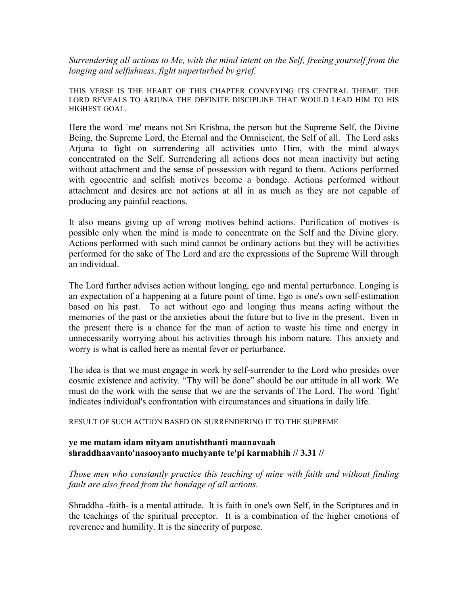*Surrendering all actions to Me, with the mind intent on the Self, freeing yourself from the longing and selfishness, fight unperturbed by grief.* 

THIS VERSE IS THE HEART OF THIS CHAPTER CONVEYING ITS CENTRAL THEME. THE LORD REVEALS TO ARJUNA THE DEFINITE DISCIPLINE THAT WOULD LEAD HIM TO HIS HIGHEST GOAL.

Here the word `me' means not Sri Krishna, the person but the Supreme Self, the Divine Being, the Supreme Lord, the Eternal and the Omniscient, the Self of all. The Lord asks Arjuna to fight on surrendering all activities unto Him, with the mind always concentrated on the Self. Surrendering all actions does not mean inactivity but acting without attachment and the sense of possession with regard to them. Actions performed with egocentric and selfish motives become a bondage. Actions performed without attachment and desires are not actions at all in as much as they are not capable of producing any painful reactions.

It also means giving up of wrong motives behind actions. Purification of motives is possible only when the mind is made to concentrate on the Self and the Divine glory. Actions performed with such mind cannot be ordinary actions but they will be activities performed for the sake of The Lord and are the expressions of the Supreme Will through an individual.

The Lord further advises action without longing, ego and mental perturbance. Longing is an expectation of a happening at a future point of time. Ego is one's own self-estimation based on his past. To act without ego and longing thus means acting without the memories of the past or the anxieties about the future but to live in the present. Even in the present there is a chance for the man of action to waste his time and energy in unnecessarily worrying about his activities through his inborn nature. This anxiety and worry is what is called here as mental fever or perturbance.

The idea is that we must engage in work by self-surrender to the Lord who presides over cosmic existence and activity. "Thy will be done" should be our attitude in all work. We must do the work with the sense that we are the servants of The Lord. The word `fight' indicates individual's confrontation with circumstances and situations in daily life.

RESULT OF SUCH ACTION BASED ON SURRENDERING IT TO THE SUPREME

#### **ye me matam idam nityam anutishthanti maanavaah shraddhaavanto'nasooyanto muchyante te'pi karmabhih // 3.31 //**

*Those men who constantly practice this teaching of mine with faith and without finding fault are also freed from the bondage of all actions.* 

Shraddha -faith- is a mental attitude. It is faith in one's own Self, in the Scriptures and in the teachings of the spiritual preceptor. It is a combination of the higher emotions of reverence and humility. It is the sincerity of purpose.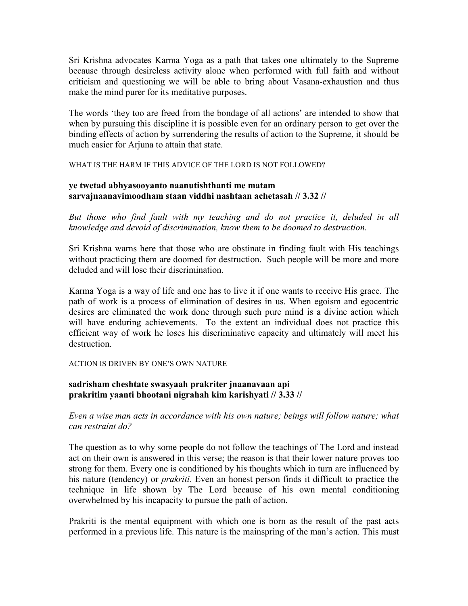Sri Krishna advocates Karma Yoga as a path that takes one ultimately to the Supreme because through desireless activity alone when performed with full faith and without criticism and questioning we will be able to bring about Vasana-exhaustion and thus make the mind purer for its meditative purposes.

The words 'they too are freed from the bondage of all actions' are intended to show that when by pursuing this discipline it is possible even for an ordinary person to get over the binding effects of action by surrendering the results of action to the Supreme, it should be much easier for Arjuna to attain that state.

WHAT IS THE HARM IF THIS ADVICE OF THE LORD IS NOT FOLLOWED?

#### **ye twetad abhyasooyanto naanutishthanti me matam sarvajnaanavimoodham staan viddhi nashtaan achetasah // 3.32 //**

*But those who find fault with my teaching and do not practice it, deluded in all knowledge and devoid of discrimination, know them to be doomed to destruction.* 

Sri Krishna warns here that those who are obstinate in finding fault with His teachings without practicing them are doomed for destruction. Such people will be more and more deluded and will lose their discrimination.

Karma Yoga is a way of life and one has to live it if one wants to receive His grace. The path of work is a process of elimination of desires in us. When egoism and egocentric desires are eliminated the work done through such pure mind is a divine action which will have enduring achievements. To the extent an individual does not practice this efficient way of work he loses his discriminative capacity and ultimately will meet his destruction.

#### ACTION IS DRIVEN BY ONE'S OWN NATURE

#### **sadrisham cheshtate swasyaah prakriter jnaanavaan api prakritim yaanti bhootani nigrahah kim karishyati // 3.33 //**

*Even a wise man acts in accordance with his own nature; beings will follow nature; what can restraint do?* 

The question as to why some people do not follow the teachings of The Lord and instead act on their own is answered in this verse; the reason is that their lower nature proves too strong for them. Every one is conditioned by his thoughts which in turn are influenced by his nature (tendency) or *prakriti*. Even an honest person finds it difficult to practice the technique in life shown by The Lord because of his own mental conditioning overwhelmed by his incapacity to pursue the path of action.

Prakriti is the mental equipment with which one is born as the result of the past acts performed in a previous life. This nature is the mainspring of the man's action. This must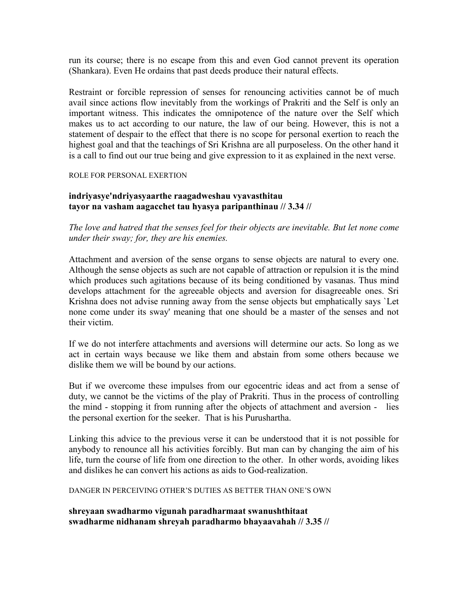run its course; there is no escape from this and even God cannot prevent its operation (Shankara). Even He ordains that past deeds produce their natural effects.

Restraint or forcible repression of senses for renouncing activities cannot be of much avail since actions flow inevitably from the workings of Prakriti and the Self is only an important witness. This indicates the omnipotence of the nature over the Self which makes us to act according to our nature, the law of our being. However, this is not a statement of despair to the effect that there is no scope for personal exertion to reach the highest goal and that the teachings of Sri Krishna are all purposeless. On the other hand it is a call to find out our true being and give expression to it as explained in the next verse.

ROLE FOR PERSONAL EXERTION

#### **indriyasye'ndriyasyaarthe raagadweshau vyavasthitau tayor na vasham aagacchet tau hyasya paripanthinau // 3.34 //**

*The love and hatred that the senses feel for their objects are inevitable. But let none come under their sway; for, they are his enemies.* 

Attachment and aversion of the sense organs to sense objects are natural to every one. Although the sense objects as such are not capable of attraction or repulsion it is the mind which produces such agitations because of its being conditioned by vasanas. Thus mind develops attachment for the agreeable objects and aversion for disagreeable ones. Sri Krishna does not advise running away from the sense objects but emphatically says `Let none come under its sway' meaning that one should be a master of the senses and not their victim.

If we do not interfere attachments and aversions will determine our acts. So long as we act in certain ways because we like them and abstain from some others because we dislike them we will be bound by our actions.

But if we overcome these impulses from our egocentric ideas and act from a sense of duty, we cannot be the victims of the play of Prakriti. Thus in the process of controlling the mind - stopping it from running after the objects of attachment and aversion - lies the personal exertion for the seeker. That is his Purushartha.

Linking this advice to the previous verse it can be understood that it is not possible for anybody to renounce all his activities forcibly. But man can by changing the aim of his life, turn the course of life from one direction to the other. In other words, avoiding likes and dislikes he can convert his actions as aids to God-realization.

DANGER IN PERCEIVING OTHER'S DUTIES AS BETTER THAN ONE'S OWN

**shreyaan swadharmo vigunah paradharmaat swanushthitaat swadharme nidhanam shreyah paradharmo bhayaavahah // 3.35 //**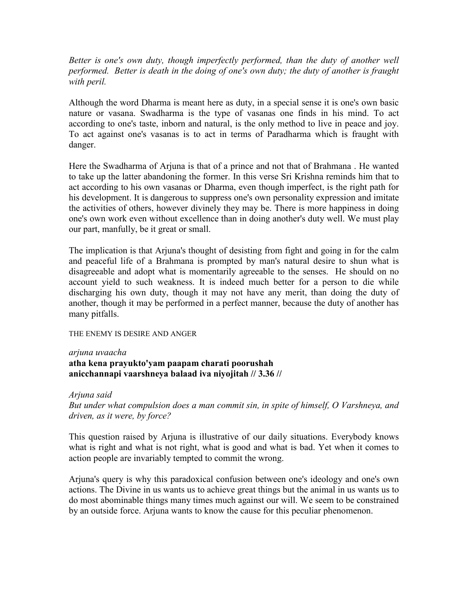*Better is one's own duty, though imperfectly performed, than the duty of another well performed. Better is death in the doing of one's own duty; the duty of another is fraught with peril.* 

Although the word Dharma is meant here as duty, in a special sense it is one's own basic nature or vasana. Swadharma is the type of vasanas one finds in his mind. To act according to one's taste, inborn and natural, is the only method to live in peace and joy. To act against one's vasanas is to act in terms of Paradharma which is fraught with danger.

Here the Swadharma of Arjuna is that of a prince and not that of Brahmana . He wanted to take up the latter abandoning the former. In this verse Sri Krishna reminds him that to act according to his own vasanas or Dharma, even though imperfect, is the right path for his development. It is dangerous to suppress one's own personality expression and imitate the activities of others, however divinely they may be. There is more happiness in doing one's own work even without excellence than in doing another's duty well. We must play our part, manfully, be it great or small.

The implication is that Arjuna's thought of desisting from fight and going in for the calm and peaceful life of a Brahmana is prompted by man's natural desire to shun what is disagreeable and adopt what is momentarily agreeable to the senses. He should on no account yield to such weakness. It is indeed much better for a person to die while discharging his own duty, though it may not have any merit, than doing the duty of another, though it may be performed in a perfect manner, because the duty of another has many pitfalls.

#### THE ENEMY IS DESIRE AND ANGER

#### *arjuna uvaacha*  **atha kena prayukto'yam paapam charati poorushah anicchannapi vaarshneya balaad iva niyojitah // 3.36 //**

*Arjuna said But under what compulsion does a man commit sin, in spite of himself, O Varshneya, and driven, as it were, by force?* 

This question raised by Arjuna is illustrative of our daily situations. Everybody knows what is right and what is not right, what is good and what is bad. Yet when it comes to action people are invariably tempted to commit the wrong.

Arjuna's query is why this paradoxical confusion between one's ideology and one's own actions. The Divine in us wants us to achieve great things but the animal in us wants us to do most abominable things many times much against our will. We seem to be constrained by an outside force. Arjuna wants to know the cause for this peculiar phenomenon.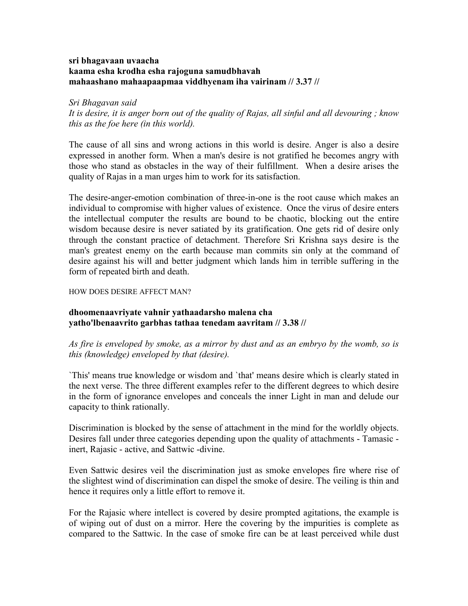#### **sri bhagavaan uvaacha kaama esha krodha esha rajoguna samudbhavah mahaashano mahaapaapmaa viddhyenam iha vairinam // 3.37 //**

*Sri Bhagavan said It is desire, it is anger born out of the quality of Rajas, all sinful and all devouring ; know this as the foe here (in this world).* 

The cause of all sins and wrong actions in this world is desire. Anger is also a desire expressed in another form. When a man's desire is not gratified he becomes angry with those who stand as obstacles in the way of their fulfillment. When a desire arises the quality of Rajas in a man urges him to work for its satisfaction.

The desire-anger-emotion combination of three-in-one is the root cause which makes an individual to compromise with higher values of existence. Once the virus of desire enters the intellectual computer the results are bound to be chaotic, blocking out the entire wisdom because desire is never satiated by its gratification. One gets rid of desire only through the constant practice of detachment. Therefore Sri Krishna says desire is the man's greatest enemy on the earth because man commits sin only at the command of desire against his will and better judgment which lands him in terrible suffering in the form of repeated birth and death.

#### HOW DOES DESIRE AFFECT MAN?

#### **dhoomenaavriyate vahnir yathaadarsho malena cha yatho'lbenaavrito garbhas tathaa tenedam aavritam // 3.38 //**

*As fire is enveloped by smoke, as a mirror by dust and as an embryo by the womb, so is this (knowledge) enveloped by that (desire).* 

`This' means true knowledge or wisdom and `that' means desire which is clearly stated in the next verse. The three different examples refer to the different degrees to which desire in the form of ignorance envelopes and conceals the inner Light in man and delude our capacity to think rationally.

Discrimination is blocked by the sense of attachment in the mind for the worldly objects. Desires fall under three categories depending upon the quality of attachments - Tamasic inert, Rajasic - active, and Sattwic -divine.

Even Sattwic desires veil the discrimination just as smoke envelopes fire where rise of the slightest wind of discrimination can dispel the smoke of desire. The veiling is thin and hence it requires only a little effort to remove it.

For the Rajasic where intellect is covered by desire prompted agitations, the example is of wiping out of dust on a mirror. Here the covering by the impurities is complete as compared to the Sattwic. In the case of smoke fire can be at least perceived while dust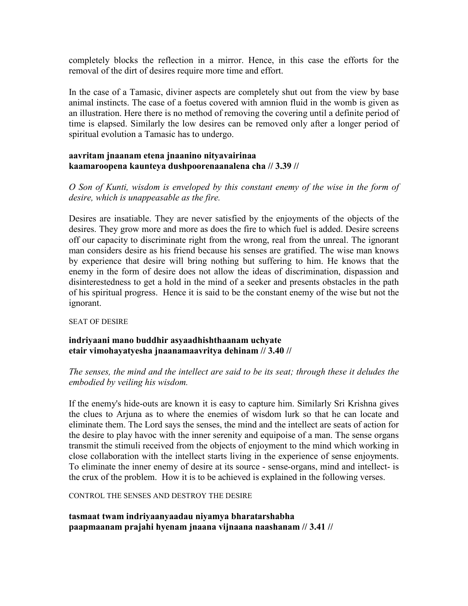completely blocks the reflection in a mirror. Hence, in this case the efforts for the removal of the dirt of desires require more time and effort.

In the case of a Tamasic, diviner aspects are completely shut out from the view by base animal instincts. The case of a foetus covered with amnion fluid in the womb is given as an illustration. Here there is no method of removing the covering until a definite period of time is elapsed. Similarly the low desires can be removed only after a longer period of spiritual evolution a Tamasic has to undergo.

#### **aavritam jnaanam etena jnaanino nityavairinaa kaamaroopena kaunteya dushpoorenaanalena cha // 3.39 //**

*O Son of Kunti, wisdom is enveloped by this constant enemy of the wise in the form of desire, which is unappeasable as the fire.*

Desires are insatiable. They are never satisfied by the enjoyments of the objects of the desires. They grow more and more as does the fire to which fuel is added. Desire screens off our capacity to discriminate right from the wrong, real from the unreal. The ignorant man considers desire as his friend because his senses are gratified. The wise man knows by experience that desire will bring nothing but suffering to him. He knows that the enemy in the form of desire does not allow the ideas of discrimination, dispassion and disinterestedness to get a hold in the mind of a seeker and presents obstacles in the path of his spiritual progress. Hence it is said to be the constant enemy of the wise but not the ignorant.

SEAT OF DESIRE

#### **indriyaani mano buddhir asyaadhishthaanam uchyate etair vimohayatyesha jnaanamaavritya dehinam // 3.40 //**

#### *The senses, the mind and the intellect are said to be its seat; through these it deludes the embodied by veiling his wisdom.*

If the enemy's hide-outs are known it is easy to capture him. Similarly Sri Krishna gives the clues to Arjuna as to where the enemies of wisdom lurk so that he can locate and eliminate them. The Lord says the senses, the mind and the intellect are seats of action for the desire to play havoc with the inner serenity and equipoise of a man. The sense organs transmit the stimuli received from the objects of enjoyment to the mind which working in close collaboration with the intellect starts living in the experience of sense enjoyments. To eliminate the inner enemy of desire at its source - sense-organs, mind and intellect- is the crux of the problem. How it is to be achieved is explained in the following verses.

CONTROL THE SENSES AND DESTROY THE DESIRE

**tasmaat twam indriyaanyaadau niyamya bharatarshabha paapmaanam prajahi hyenam jnaana vijnaana naashanam // 3.41 //**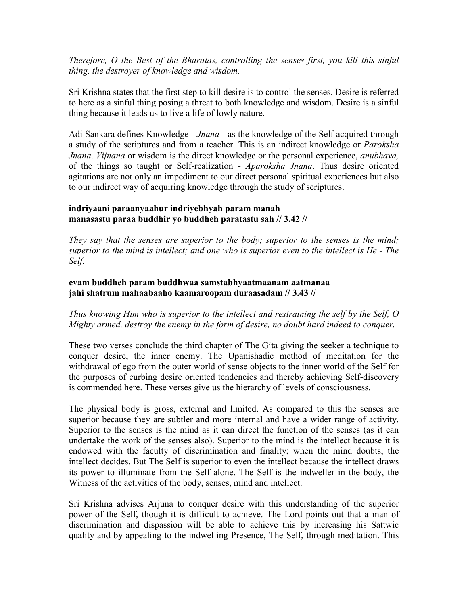*Therefore, O the Best of the Bharatas, controlling the senses first, you kill this sinful thing, the destroyer of knowledge and wisdom.* 

Sri Krishna states that the first step to kill desire is to control the senses. Desire is referred to here as a sinful thing posing a threat to both knowledge and wisdom. Desire is a sinful thing because it leads us to live a life of lowly nature.

Adi Sankara defines Knowledge - *Jnana* - as the knowledge of the Self acquired through a study of the scriptures and from a teacher. This is an indirect knowledge or *Paroksha Jnana*. *Vijnana* or wisdom is the direct knowledge or the personal experience, *anubhava,* of the things so taught or Self-realization - *Aparoksha Jnana*. Thus desire oriented agitations are not only an impediment to our direct personal spiritual experiences but also to our indirect way of acquiring knowledge through the study of scriptures.

#### **indriyaani paraanyaahur indriyebhyah param manah manasastu paraa buddhir yo buddheh paratastu sah // 3.42 //**

*They say that the senses are superior to the body; superior to the senses is the mind; superior to the mind is intellect; and one who is superior even to the intellect is He - The Self.* 

#### **evam buddheh param buddhwaa samstabhyaatmaanam aatmanaa jahi shatrum mahaabaaho kaamaroopam duraasadam // 3.43 //**

*Thus knowing Him who is superior to the intellect and restraining the self by the Self, O Mighty armed, destroy the enemy in the form of desire, no doubt hard indeed to conquer.* 

These two verses conclude the third chapter of The Gita giving the seeker a technique to conquer desire, the inner enemy. The Upanishadic method of meditation for the withdrawal of ego from the outer world of sense objects to the inner world of the Self for the purposes of curbing desire oriented tendencies and thereby achieving Self-discovery is commended here. These verses give us the hierarchy of levels of consciousness.

The physical body is gross, external and limited. As compared to this the senses are superior because they are subtler and more internal and have a wider range of activity. Superior to the senses is the mind as it can direct the function of the senses (as it can undertake the work of the senses also). Superior to the mind is the intellect because it is endowed with the faculty of discrimination and finality; when the mind doubts, the intellect decides. But The Self is superior to even the intellect because the intellect draws its power to illuminate from the Self alone. The Self is the indweller in the body, the Witness of the activities of the body, senses, mind and intellect.

Sri Krishna advises Arjuna to conquer desire with this understanding of the superior power of the Self, though it is difficult to achieve. The Lord points out that a man of discrimination and dispassion will be able to achieve this by increasing his Sattwic quality and by appealing to the indwelling Presence, The Self, through meditation. This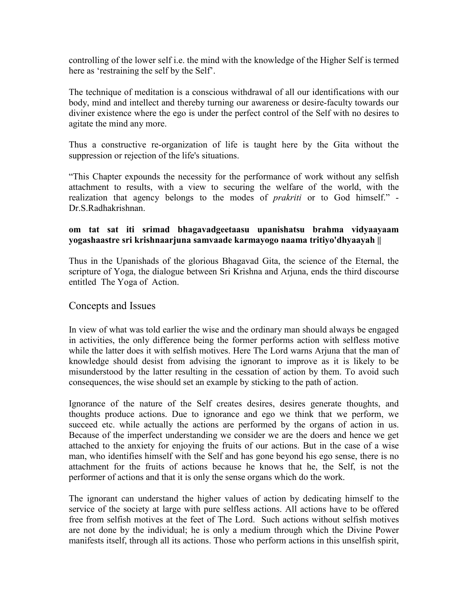controlling of the lower self i.e. the mind with the knowledge of the Higher Self is termed here as 'restraining the self by the Self'.

The technique of meditation is a conscious withdrawal of all our identifications with our body, mind and intellect and thereby turning our awareness or desire-faculty towards our diviner existence where the ego is under the perfect control of the Self with no desires to agitate the mind any more.

Thus a constructive re-organization of life is taught here by the Gita without the suppression or rejection of the life's situations.

"This Chapter expounds the necessity for the performance of work without any selfish attachment to results, with a view to securing the welfare of the world, with the realization that agency belongs to the modes of *prakriti* or to God himself." - Dr.S.Radhakrishnan.

#### **om tat sat iti srimad bhagavadgeetaasu upanishatsu brahma vidyaayaam yogashaastre sri krishnaarjuna samvaade karmayogo naama tritiyo'dhyaayah ||**

Thus in the Upanishads of the glorious Bhagavad Gita, the science of the Eternal, the scripture of Yoga, the dialogue between Sri Krishna and Arjuna, ends the third discourse entitled The Yoga of Action.

#### Concepts and Issues

In view of what was told earlier the wise and the ordinary man should always be engaged in activities, the only difference being the former performs action with selfless motive while the latter does it with selfish motives. Here The Lord warns Arjuna that the man of knowledge should desist from advising the ignorant to improve as it is likely to be misunderstood by the latter resulting in the cessation of action by them. To avoid such consequences, the wise should set an example by sticking to the path of action.

Ignorance of the nature of the Self creates desires, desires generate thoughts, and thoughts produce actions. Due to ignorance and ego we think that we perform, we succeed etc. while actually the actions are performed by the organs of action in us. Because of the imperfect understanding we consider we are the doers and hence we get attached to the anxiety for enjoying the fruits of our actions. But in the case of a wise man, who identifies himself with the Self and has gone beyond his ego sense, there is no attachment for the fruits of actions because he knows that he, the Self, is not the performer of actions and that it is only the sense organs which do the work.

The ignorant can understand the higher values of action by dedicating himself to the service of the society at large with pure selfless actions. All actions have to be offered free from selfish motives at the feet of The Lord. Such actions without selfish motives are not done by the individual; he is only a medium through which the Divine Power manifests itself, through all its actions. Those who perform actions in this unselfish spirit,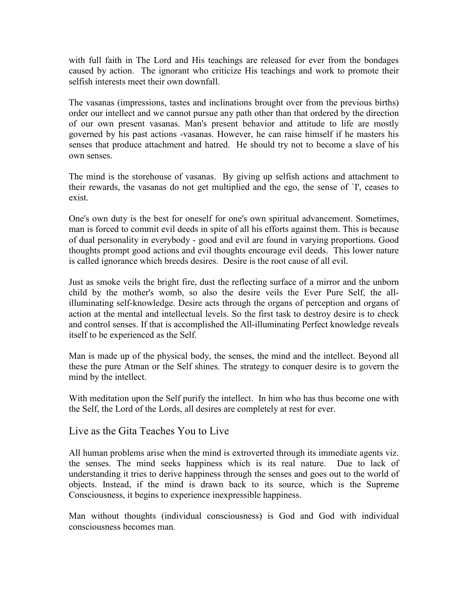with full faith in The Lord and His teachings are released for ever from the bondages caused by action. The ignorant who criticize His teachings and work to promote their selfish interests meet their own downfall.

The vasanas (impressions, tastes and inclinations brought over from the previous births) order our intellect and we cannot pursue any path other than that ordered by the direction of our own present vasanas. Man's present behavior and attitude to life are mostly governed by his past actions -vasanas. However, he can raise himself if he masters his senses that produce attachment and hatred. He should try not to become a slave of his own senses.

The mind is the storehouse of vasanas. By giving up selfish actions and attachment to their rewards, the vasanas do not get multiplied and the ego, the sense of `I', ceases to exist.

One's own duty is the best for oneself for one's own spiritual advancement. Sometimes, man is forced to commit evil deeds in spite of all his efforts against them. This is because of dual personality in everybody - good and evil are found in varying proportions. Good thoughts prompt good actions and evil thoughts encourage evil deeds. This lower nature is called ignorance which breeds desires. Desire is the root cause of all evil.

Just as smoke veils the bright fire, dust the reflecting surface of a mirror and the unborn child by the mother's womb, so also the desire veils the Ever Pure Self, the allilluminating self-knowledge. Desire acts through the organs of perception and organs of action at the mental and intellectual levels. So the first task to destroy desire is to check and control senses. If that is accomplished the All-illuminating Perfect knowledge reveals itself to be experienced as the Self.

Man is made up of the physical body, the senses, the mind and the intellect. Beyond all these the pure Atman or the Self shines. The strategy to conquer desire is to govern the mind by the intellect.

With meditation upon the Self purify the intellect. In him who has thus become one with the Self, the Lord of the Lords, all desires are completely at rest for ever.

#### Live as the Gita Teaches You to Live

All human problems arise when the mind is extroverted through its immediate agents viz. the senses. The mind seeks happiness which is its real nature. Due to lack of understanding it tries to derive happiness through the senses and goes out to the world of objects. Instead, if the mind is drawn back to its source, which is the Supreme Consciousness, it begins to experience inexpressible happiness.

Man without thoughts (individual consciousness) is God and God with individual consciousness becomes man.